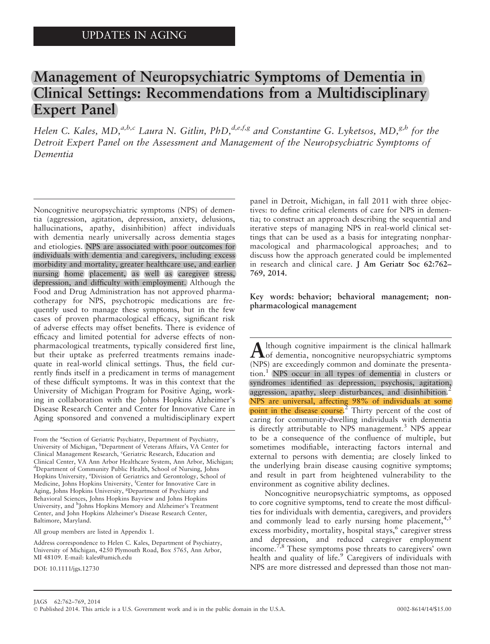# Management of Neuropsychiatric Symptoms of Dementia in Clinical Settings: Recommendations from a Multidisciplinary Expert Panel

Helen C. Kales, MD,<sup>a,b,c</sup> Laura N. Gitlin, PhD,<sup>d,e,f,g</sup> and Constantine G. Lyketsos, MD,<sup>g,h</sup> for the Detroit Expert Panel on the Assessment and Management of the Neuropsychiatric Symptoms of Dementia

Noncognitive neuropsychiatric symptoms (NPS) of dementia (aggression, agitation, depression, anxiety, delusions, hallucinations, apathy, disinhibition) affect individuals with dementia nearly universally across dementia stages and etiologies. NPS are associated with poor outcomes for individuals with dementia and caregivers, including excess morbidity and mortality, greater healthcare use, and earlier nursing home placement, as well as caregiver stress, depression, and difficulty with employment. Although the Food and Drug Administration has not approved pharmacotherapy for NPS, psychotropic medications are frequently used to manage these symptoms, but in the few cases of proven pharmacological efficacy, significant risk of adverse effects may offset benefits. There is evidence of efficacy and limited potential for adverse effects of nonpharmacological treatments, typically considered first line, but their uptake as preferred treatments remains inadequate in real-world clinical settings. Thus, the field currently finds itself in a predicament in terms of management of these difficult symptoms. It was in this context that the University of Michigan Program for Positive Aging, working in collaboration with the Johns Hopkins Alzheimer's Disease Research Center and Center for Innovative Care in Aging sponsored and convened a multidisciplinary expert

From the <sup>a</sup>Section of Geriatric Psychiatry, Department of Psychiatry, University of Michigan, <sup>b</sup>Department of Veterans Affairs, VA Center for Clinical Management Research, 'Geriatric Research, Education and Clinical Center, VA Ann Arbor Healthcare System, Ann Arbor, Michigan; d Department of Community Public Health, School of Nursing, Johns Hopkins University, <sup>e</sup>Division of Geriatrics and Gerontology, School of Medicine, Johns Hopkins University, <sup>f</sup> Center for Innovative Care in Aging, Johns Hopkins University, <sup>g</sup>Department of Psychiatry and Behavioral Sciences, Johns Hopkins Bayview and Johns Hopkins University, and <sup>h</sup>Johns Hopkins Memory and Alzheimer's Treatment Center, and John Hopkins Alzheimer's Disease Research Center, Baltimore, Maryland.

All group members are listed in Appendix 1.

Address correspondence to Helen C. Kales, Department of Psychiatry, University of Michigan, 4250 Plymouth Road, Box 5765, Ann Arbor, MI 48109. E-mail: kales@umich.edu

DOI: 10.1111/jgs.12730

panel in Detroit, Michigan, in fall 2011 with three objectives: to define critical elements of care for NPS in dementia; to construct an approach describing the sequential and iterative steps of managing NPS in real-world clinical settings that can be used as a basis for integrating nonpharmacological and pharmacological approaches; and to discuss how the approach generated could be implemented in research and clinical care. J Am Geriatr Soc 62:762– 769, 2014.

Key words: behavior; behavioral management; nonpharmacological management

Although cognitive impairment is the clinical hallmark<br>of dementia, noncognitive neuropsychiatric symptoms (NPS) are exceedingly common and dominate the presentation.<sup>1</sup> NPS occur in all types of dementia in clusters or syndromes identified as depression, psychosis, agitation, aggression, apathy, sleep disturbances, and disinhibition.<sup>2</sup> NPS are universal, affecting 98% of individuals at some point in the disease course.<sup>2</sup> Thirty percent of the cost of caring for community-dwelling individuals with dementia is directly attributable to NPS management.<sup>3</sup> NPS appear to be a consequence of the confluence of multiple, but sometimes modifiable, interacting factors internal and external to persons with dementia; are closely linked to the underlying brain disease causing cognitive symptoms; and result in part from heightened vulnerability to the environment as cognitive ability declines.

Noncognitive neuropsychiatric symptoms, as opposed to core cognitive symptoms, tend to create the most difficulties for individuals with dementia, caregivers, and providers and commonly lead to early nursing home placement,  $4.5$ excess morbidity, mortality, hospital stays,<sup>6</sup> caregiver stress and depression, and reduced caregiver employment income.<sup> $7,8$ </sup> These symptoms pose threats to caregivers' own health and quality of life.<sup>9</sup> Caregivers of individuals with NPS are more distressed and depressed than those not man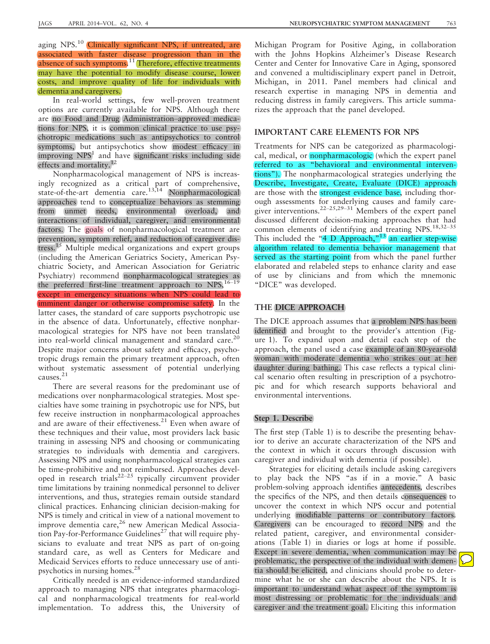aging NPS.<sup>10</sup> Clinically significant NPS, if untreated, are associated with faster disease progression than in the absence of such symptoms.<sup>11</sup> Therefore, effective treatments may have the potential to modify disease course, lower costs, and improve quality of life for individuals with dementia and caregivers.

In real-world settings, few well-proven treatment options are currently available for NPS. Although there are no Food and Drug Administration–approved medications for NPS, it is common clinical practice to use psychotropic medications such as antipsychotics to control symptoms, but antipsychotics show modest efficacy in improving  $NPS<sup>1</sup>$  and have significant risks including side effects and mortality.<sup>12</sup>

Nonpharmacological management of NPS is increasingly recognized as a critical part of comprehensive, state-of-the-art dementia care.<sup>13,14</sup> Nonpharmacological approaches tend to conceptualize behaviors as stemming from unmet needs, environmental overload, and interactions of individual, caregiver, and environmental factors. The goals of nonpharmacological treatment are prevention, symptom relief, and reduction of caregiver distress.<sup>15</sup> Multiple medical organizations and expert groups (including the American Geriatrics Society, American Psychiatric Society, and American Association for Geriatric Psychiatry) recommend nonpharmacological strategies as the preferred first-line treatment approach to NPS, 16-19 except in emergency situations when NPS could lead to imminent danger or otherwise compromise safety. In the latter cases, the standard of care supports psychotropic use in the absence of data. Unfortunately, effective nonpharmacological strategies for NPS have not been translated into real-world clinical management and standard care.<sup>20</sup> Despite major concerns about safety and efficacy, psychotropic drugs remain the primary treatment approach, often without systematic assessment of potential underlying causes.<sup>21</sup>

There are several reasons for the predominant use of medications over nonpharmacological strategies. Most specialties have some training in psychotropic use for NPS, but few receive instruction in nonpharmacological approaches and are aware of their effectiveness. $21$  Even when aware of these techniques and their value, most providers lack basic training in assessing NPS and choosing or communicating strategies to individuals with dementia and caregivers. Assessing NPS and using nonpharmacological strategies can be time-prohibitive and not reimbursed. Approaches developed in research trials<sup>22-25</sup> typically circumvent provider time limitations by training nonmedical personnel to deliver interventions, and thus, strategies remain outside standard clinical practices. Enhancing clinician decision-making for NPS is timely and critical in view of a national movement to improve dementia care,<sup>26</sup> new American Medical Association Pay-for-Performance Guidelines<sup>27</sup> that will require physicians to evaluate and treat NPS as part of on-going standard care, as well as Centers for Medicare and Medicaid Services efforts to reduce unnecessary use of antipsychotics in nursing homes.28

Critically needed is an evidence-informed standardized approach to managing NPS that integrates pharmacological and nonpharmacological treatments for real-world implementation. To address this, the University of Michigan Program for Positive Aging, in collaboration with the Johns Hopkins Alzheimer's Disease Research Center and Center for Innovative Care in Aging, sponsored and convened a multidisciplinary expert panel in Detroit, Michigan, in 2011. Panel members had clinical and research expertise in managing NPS in dementia and reducing distress in family caregivers. This article summarizes the approach that the panel developed.

### IMPORTANT CARE ELEMENTS FOR NPS

Treatments for NPS can be categorized as pharmacological, medical, or nonpharmacologic (which the expert panel referred to as "behavioral and environmental interventions"). The nonpharmacological strategies underlying the Describe, Investigate, Create, Evaluate (DICE) approach are those with the **strongest evidence base**, including thorough assessments for underlying causes and family caregiver interventions. $2^{2-25,29-31}$  Members of the expert panel discussed different decision-making approaches that had common elements of identifying and treating NPS.18,32–<sup>35</sup> This included the "4 D Approach,"<sup>13</sup> an earlier step-wise algorithm related to dementia behavior management that served as the starting point from which the panel further elaborated and relabeled steps to enhance clarity and ease of use by clinicians and from which the mnemonic "DICE" was developed.

### THE DICE APPROACH

The DICE approach assumes that a problem NPS has been identified and brought to the provider's attention (Figure 1). To expand upon and detail each step of the approach, the panel used a case example of an 80-year-old woman with moderate dementia who strikes out at her daughter during bathing. This case reflects a typical clinical scenario often resulting in prescription of a psychotropic and for which research supports behavioral and environmental interventions.

### Step 1. Describe

The first step (Table 1) is to describe the presenting behavior to derive an accurate characterization of the NPS and the context in which it occurs through discussion with caregiver and individual with dementia (if possible).

Strategies for eliciting details include asking caregivers to play back the NPS "as if in a movie." A basic problem-solving approach identifies antecedents, describes the specifics of the NPS, and then details consequences to uncover the context in which NPS occur and potential underlying modifiable patterns or contributory factors. Caregivers can be encouraged to record NPS and the related patient, caregiver, and environmental considerations (Table 1) in diaries or logs at home if possible. Except in severe dementia, when communication may be problematic, the perspective of the individual with dementia should be elicited, and clinicians should probe to determine what he or she can describe about the NPS. It is important to understand what aspect of the symptom is most distressing or problematic for the individuals and caregiver and the treatment goal. Eliciting this information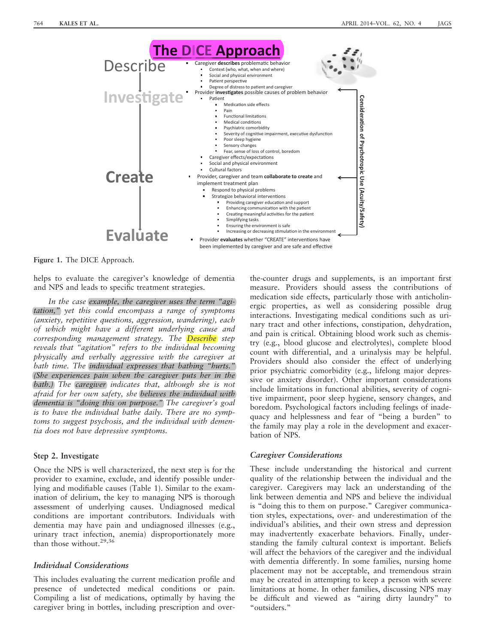

Figure 1. The DICE Approach.

helps to evaluate the caregiver's knowledge of dementia and NPS and leads to specific treatment strategies.

In the case example, the caregiver uses the term "agitation," yet this could encompass a range of symptoms (anxiety, repetitive questions, aggression, wandering), each of which might have a different underlying cause and corresponding management strategy. The **Describe** step reveals that "agitation" refers to the individual becoming physically and verbally aggressive with the caregiver at bath time. The individual expresses that bathing "hurts." (She experiences pain when the caregiver puts her in the bath.) The caregiver indicates that, although she is not afraid for her own safety, she believes the individual with dementia is "doing this on purpose." The caregiver's goal is to have the individual bathe daily. There are no symptoms to suggest psychosis, and the individual with dementia does not have depressive symptoms.

### Step 2. Investigate

Once the NPS is well characterized, the next step is for the provider to examine, exclude, and identify possible underlying and modifiable causes (Table 1). Similar to the examination of delirium, the key to managing NPS is thorough assessment of underlying causes. Undiagnosed medical conditions are important contributors. Individuals with dementia may have pain and undiagnosed illnesses (e.g., urinary tract infection, anemia) disproportionately more than those without.<sup>29,36</sup>

### Individual Considerations

This includes evaluating the current medication profile and presence of undetected medical conditions or pain. Compiling a list of medications, optimally by having the caregiver bring in bottles, including prescription and overthe-counter drugs and supplements, is an important first measure. Providers should assess the contributions of medication side effects, particularly those with anticholinergic properties, as well as considering possible drug interactions. Investigating medical conditions such as urinary tract and other infections, constipation, dehydration, and pain is critical. Obtaining blood work such as chemistry (e.g., blood glucose and electrolytes), complete blood count with differential, and a urinalysis may be helpful. Providers should also consider the effect of underlying prior psychiatric comorbidity (e.g., lifelong major depressive or anxiety disorder). Other important considerations include limitations in functional abilities, severity of cognitive impairment, poor sleep hygiene, sensory changes, and boredom. Psychological factors including feelings of inadequacy and helplessness and fear of "being a burden" to the family may play a role in the development and exacerbation of NPS.

### Caregiver Considerations

These include understanding the historical and current quality of the relationship between the individual and the caregiver. Caregivers may lack an understanding of the link between dementia and NPS and believe the individual is "doing this to them on purpose." Caregiver communication styles, expectations, over- and underestimation of the individual's abilities, and their own stress and depression may inadvertently exacerbate behaviors. Finally, understanding the family cultural context is important. Beliefs will affect the behaviors of the caregiver and the individual with dementia differently. In some families, nursing home placement may not be acceptable, and tremendous strain may be created in attempting to keep a person with severe limitations at home. In other families, discussing NPS may be difficult and viewed as "airing dirty laundry" to "outsiders."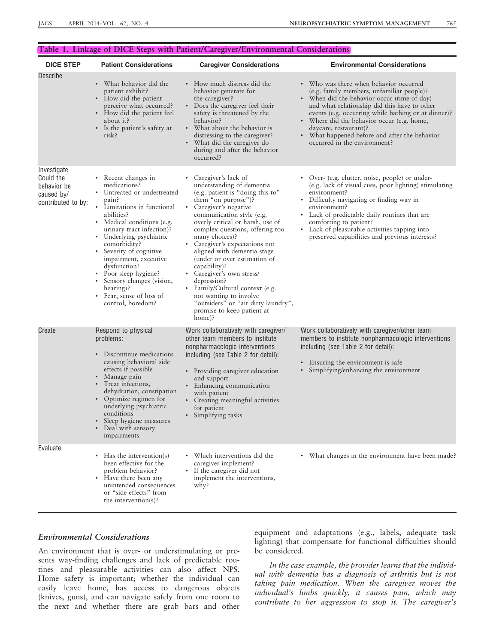| <b>DICE STEP</b>                                                            | <b>Patient Considerations</b>                                                                                                                                                                                                                                                                                                                                                                                           | <b>Caregiver Considerations</b>                                                                                                                                                                                                                                                                                                                                                                                                                                                                                                                                  | <b>Environmental Considerations</b>                                                                                                                                                                                                                                                                                                                                                           |
|-----------------------------------------------------------------------------|-------------------------------------------------------------------------------------------------------------------------------------------------------------------------------------------------------------------------------------------------------------------------------------------------------------------------------------------------------------------------------------------------------------------------|------------------------------------------------------------------------------------------------------------------------------------------------------------------------------------------------------------------------------------------------------------------------------------------------------------------------------------------------------------------------------------------------------------------------------------------------------------------------------------------------------------------------------------------------------------------|-----------------------------------------------------------------------------------------------------------------------------------------------------------------------------------------------------------------------------------------------------------------------------------------------------------------------------------------------------------------------------------------------|
| <b>Describe</b>                                                             | • What behavior did the<br>patient exhibit?<br>• How did the patient<br>perceive what occurred?<br>• How did the patient feel<br>about it?<br>• Is the patient's safety at<br>risk?                                                                                                                                                                                                                                     | • How much distress did the<br>behavior generate for<br>the caregiver?<br>• Does the caregiver feel their<br>safety is threatened by the<br>behavior?<br>• What about the behavior is<br>distressing to the caregiver?<br>• What did the caregiver do<br>during and after the behavior<br>occurred?                                                                                                                                                                                                                                                              | Who was there when behavior occurred<br>(e.g. family members, unfamiliar people)?<br>• When did the behavior occur (time of day)<br>and what relationship did this have to other<br>events (e.g. occurring while bathing or at dinner)?<br>Where did the behavior occur (e.g. home,<br>daycare, restaurant)?<br>• What happened before and after the behavior<br>occurred in the environment? |
| Investigate<br>Could the<br>behavior be<br>caused by/<br>contributed to by: | • Recent changes in<br>medications?<br>• Untreated or undertreated<br>pain?<br>• Limitations in functional<br>abilities?<br>Medical conditions (e.g.<br>urinary tract infection)?<br>• Underlying psychiatric<br>comorbidity?<br>• Severity of cognitive<br>impairment, executive<br>dysfunction?<br>Poor sleep hygiene?<br>٠<br>Sensory changes (vision,<br>hearing)?<br>• Fear, sense of loss of<br>control, boredom? | • Caregiver's lack of<br>understanding of dementia<br>(e.g. patient is "doing this to"<br>them "on purpose")?<br>Caregiver's negative<br>communication style (e.g.<br>overly critical or harsh, use of<br>complex questions, offering too<br>many choices)?<br>Caregiver's expectations not<br>aligned with dementia stage<br>(under or over estimation of<br>capability)?<br>• Caregiver's own stress/<br>depression?<br>Family/Cultural context (e.g.<br>not wanting to involve<br>"outsiders" or "air dirty laundry",<br>promise to keep patient at<br>home)? | • Over- (e.g. clutter, noise, people) or under-<br>(e.g. lack of visual cues, poor lighting) stimulating<br>environment?<br>• Difficulty navigating or finding way in<br>environment?<br>• Lack of predictable daily routines that are<br>comforting to patient?<br>Lack of pleasurable activities tapping into<br>٠<br>preserved capabilities and previous interests?                        |
| Create                                                                      | Respond to physical<br>problems:<br>• Discontinue medications<br>causing behavioral side<br>effects if possible<br>• Manage pain<br>Treat infections,<br>dehydration, constipation<br>Optimize regimen for<br>underlying psychiatric<br>conditions<br>· Sleep hygiene measures<br>• Deal with sensory<br>impairments                                                                                                    | Work collaboratively with caregiver/<br>other team members to institute<br>nonpharmacologic interventions<br>including (see Table 2 for detail):<br>• Providing caregiver education<br>and support<br>• Enhancing communication<br>with patient<br>• Creating meaningful activities<br>for patient<br>Simplifying tasks                                                                                                                                                                                                                                          | Work collaboratively with caregiver/other team<br>members to institute nonpharmacologic interventions<br>including (see Table 2 for detail):<br>• Ensuring the environment is safe<br>• Simplifying/enhancing the environment                                                                                                                                                                 |
| Evaluate                                                                    | • Has the intervention(s)<br>been effective for the<br>problem behavior?<br>Have there been any<br>unintended consequences<br>or "side effects" from<br>the intervention(s)?                                                                                                                                                                                                                                            | • Which interventions did the<br>caregiver implement?<br>• If the caregiver did not<br>implement the interventions,<br>why?                                                                                                                                                                                                                                                                                                                                                                                                                                      | What changes in the environment have been made?<br>$\bullet$                                                                                                                                                                                                                                                                                                                                  |

#### Table 1. Linkage of DICE Steps with Patient/Caregiver/Environmental Considerations

# Environmental Considerations

An environment that is over- or understimulating or presents way-finding challenges and lack of predictable routines and pleasurable activities can also affect NPS. Home safety is important; whether the individual can easily leave home, has access to dangerous objects (knives, guns), and can navigate safely from one room to the next and whether there are grab bars and other

equipment and adaptations (e.g., labels, adequate task lighting) that compensate for functional difficulties should be considered.

In the case example, the provider learns that the individual with dementia has a diagnosis of arthritis but is not taking pain medication. When the caregiver moves the individual's limbs quickly, it causes pain, which may contribute to her aggression to stop it. The caregiver's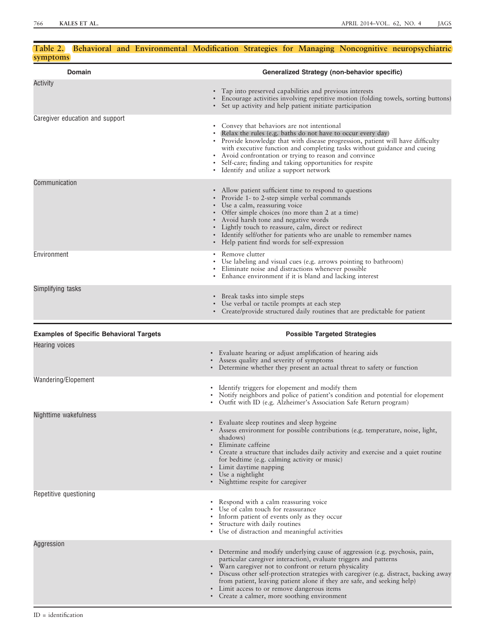| symptoms                                       | <u>Benavioral</u> and Environmental Informeation otrategies for managing<br>$1$ voncognitive near oper                                                                                                                                                                                                                                                                                                                                     |  |
|------------------------------------------------|--------------------------------------------------------------------------------------------------------------------------------------------------------------------------------------------------------------------------------------------------------------------------------------------------------------------------------------------------------------------------------------------------------------------------------------------|--|
| Domain                                         | Generalized Strategy (non-behavior specific)                                                                                                                                                                                                                                                                                                                                                                                               |  |
| Activity                                       | • Tap into preserved capabilities and previous interests<br>Encourage activities involving repetitive motion (folding towels, sorting buttons)<br>• Set up activity and help patient initiate participation                                                                                                                                                                                                                                |  |
| Caregiver education and support                | • Convey that behaviors are not intentional<br>Relax the rules (e.g. baths do not have to occur every day)<br>• Provide knowledge that with disease progression, patient will have difficulty<br>with executive function and completing tasks without guidance and cueing<br>• Avoid confrontation or trying to reason and convince<br>Self-care; finding and taking opportunities for respite<br>• Identify and utilize a support network |  |
| Communication                                  | • Allow patient sufficient time to respond to questions<br>Provide 1- to 2-step simple verbal commands<br>Use a calm, reassuring voice<br>Offer simple choices (no more than 2 at a time)<br>• Avoid harsh tone and negative words<br>Lightly touch to reassure, calm, direct or redirect<br>• Identify self/other for patients who are unable to remember names<br>• Help patient find words for self-expression                          |  |
| Environment                                    | Remove clutter<br>Use labeling and visual cues (e.g. arrows pointing to bathroom)<br>Eliminate noise and distractions whenever possible<br>Enhance environment if it is bland and lacking interest                                                                                                                                                                                                                                         |  |
| Simplifying tasks                              | Break tasks into simple steps<br>Use verbal or tactile prompts at each step<br>Create/provide structured daily routines that are predictable for patient                                                                                                                                                                                                                                                                                   |  |
| <b>Examples of Specific Behavioral Targets</b> | <b>Possible Targeted Strategies</b>                                                                                                                                                                                                                                                                                                                                                                                                        |  |
| Hearing voices                                 | • Evaluate hearing or adjust amplification of hearing aids<br>• Assess quality and severity of symptoms<br>• Determine whether they present an actual threat to safety or function                                                                                                                                                                                                                                                         |  |
| Wandering/Elopement                            | • Identify triggers for elopement and modify them<br>• Notify neighbors and police of patient's condition and potential for elopement<br>• Outfit with ID (e.g. Alzheimer's Association Safe Return program)                                                                                                                                                                                                                               |  |
| Nighttime wakefulness                          | • Evaluate sleep routines and sleep hygeine<br>Assess environment for possible contributions (e.g. temperature, noise, light,<br>shadows)<br>Eliminate caffeine<br>Create a structure that includes daily activity and exercise and a quiet routine<br>for bedtime (e.g. calming activity or music)<br>• Limit daytime napping<br>• Use a nightlight<br>• Nighttime respite for caregiver                                                  |  |
| Repetitive questioning                         | • Respond with a calm reassuring voice<br>Use of calm touch for reassurance<br>• Inform patient of events only as they occur<br>Structure with daily routines<br>• Use of distraction and meaningful activities                                                                                                                                                                                                                            |  |
| Aggression                                     | • Determine and modify underlying cause of aggression (e.g. psychosis, pain,<br>particular caregiver interaction), evaluate triggers and patterns                                                                                                                                                                                                                                                                                          |  |

• Warn caregiver not to confront or return physicality

• Limit access to or remove dangerous items • Create a calmer, more soothing environment

• Discuss other self-protection strategies with caregiver (e.g. distract, backing away from patient, leaving patient alone if they are safe, and seeking help)

# Table 2. Behavioral and Environmental Modification Strategies for Managing Noncognitive neuropsychiatric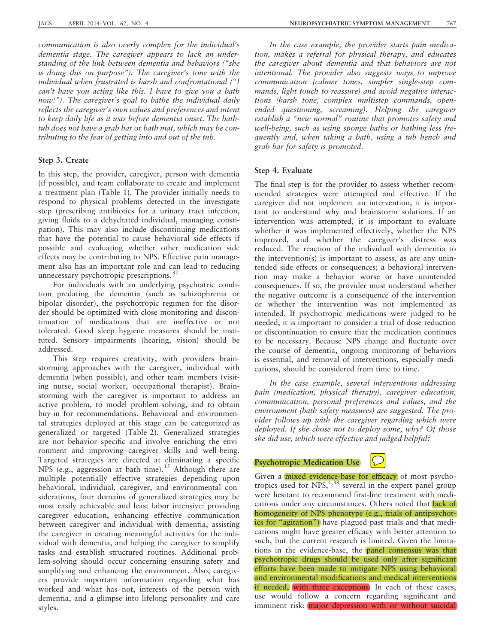communication is also overly complex for the individual's dementia stage. The caregiver appears to lack an understanding of the link between dementia and behaviors ("she is doing this on purpose"). The caregiver's tone with the individual when frustrated is harsh and confrontational ("I can't have you acting like this. I have to give you a bath now!"). The caregiver's goal to bathe the individual daily reflects the caregiver's own values and preferences and intent to keep daily life as it was before dementia onset. The bathtub does not have a grab bar or bath mat, which may be contributing to the fear of getting into and out of the tub.

### Step 3. Create

In this step, the provider, caregiver, person with dementia (if possible), and team collaborate to create and implement a treatment plan (Table 1). The provider initially needs to respond to physical problems detected in the investigate step (prescribing antibiotics for a urinary tract infection, giving fluids to a dehydrated individual, managing constipation). This may also include discontinuing medications that have the potential to cause behavioral side effects if possible and evaluating whether other medication side effects may be contributing to NPS. Effective pain management also has an important role and can lead to reducing unnecessary psychotropic prescriptions.<sup>37</sup>

For individuals with an underlying psychiatric condition predating the dementia (such as schizophrenia or bipolar disorder), the psychotropic regimen for the disorder should be optimized with close monitoring and discontinuation of medications that are ineffective or not tolerated. Good sleep hygiene measures should be instituted. Sensory impairments (hearing, vision) should be addressed.

This step requires creativity, with providers brainstorming approaches with the caregiver, individual with dementia (when possible), and other team members (visiting nurse, social worker, occupational therapist). Brainstorming with the caregiver is important to address an active problem, to model problem-solving, and to obtain buy-in for recommendations. Behavioral and environmental strategies deployed at this stage can be categorized as generalized or targeted (Table 2). Generalized strategies are not behavior specific and involve enriching the environment and improving caregiver skills and well-being. Targeted strategies are directed at eliminating a specific NPS (e.g., aggression at bath time).<sup>15</sup> Although there are multiple potentially effective strategies depending upon behavioral, individual, caregiver, and environmental considerations, four domains of generalized strategies may be most easily achievable and least labor intensive: providing caregiver education, enhancing effective communication between caregiver and individual with dementia, assisting the caregiver in creating meaningful activities for the individual with dementia, and helping the caregiver to simplify tasks and establish structured routines. Additional problem-solving should occur concerning ensuring safety and simplifying and enhancing the environment. Also, caregivers provide important information regarding what has worked and what has not, interests of the person with dementia, and a glimpse into lifelong personality and care styles.

In the case example, the provider starts pain medication, makes a referral for physical therapy, and educates the caregiver about dementia and that behaviors are not intentional. The provider also suggests ways to improve communication (calmer tones, simpler single-step commands, light touch to reassure) and avoid negative interactions (harsh tone, complex multistep commands, openended questioning, screaming). Helping the caregiver establish a "new normal" routine that promotes safety and well-being, such as using sponge baths or bathing less frequently and, when taking a bath, using a tub bench and grab bar for safety is promoted.

### Step 4. Evaluate

The final step is for the provider to assess whether recommended strategies were attempted and effective. If the caregiver did not implement an intervention, it is important to understand why and brainstorm solutions. If an intervention was attempted, it is important to evaluate whether it was implemented effectively, whether the NPS improved, and whether the caregiver's distress was reduced. The reaction of the individual with dementia to the intervention(s) is important to assess, as are any unintended side effects or consequences; a behavioral intervention may make a behavior worse or have unintended consequences. If so, the provider must understand whether the negative outcome is a consequence of the intervention or whether the intervention was not implemented as intended. If psychotropic medications were judged to be needed, it is important to consider a trial of dose reduction or discontinuation to ensure that the medication continues to be necessary. Because NPS change and fluctuate over the course of dementia, ongoing monitoring of behaviors is essential, and removal of interventions, especially medications, should be considered from time to time.

In the case example, several interventions addressing pain (medication, physical therapy), caregiver education, communication, personal preferences and values, and the environment (bath safety measures) are suggested. The provider follows up with the caregiver regarding which were deployed. If she chose not to deploy some, why? Of those she did use, which were effective and judged helpful?

### Psychotropic Medication Use



Given a mixed evidence-base for efficacy of most psychotropics used for  $NPS<sub>1</sub>,<sup>1,38</sup>$  several in the expert panel group were hesitant to recommend first-line treatment with medications under any circumstances. Others noted that lack of homogeneity of NPS phenotype (e.g., trials of antipsychotics for "agitation") have plagued past trials and that medications might have greater efficacy with better attention to such, but the current research is limited. Given the limitations in the evidence-base, the panel consensus was that psychotropic drugs should be used only after significant efforts have been made to mitigate NPS using behavioral and environmental modifications and medical interventions if needed, with three exceptions. In each of these cases, use would follow a concern regarding significant and imminent risk: major depression with or without suicidal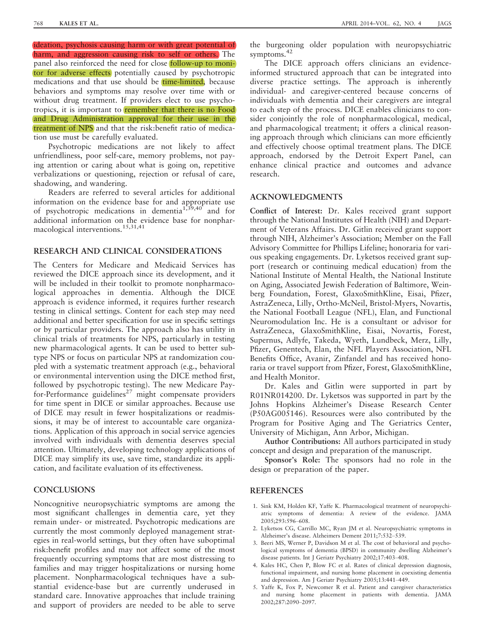768 KALES ET AL. APRIL 2014–VOL. 62, NO. 4 JAGS

ideation, psychosis causing harm or with great potential of harm, and aggression causing risk to self or others. The panel also reinforced the need for close follow-up to monitor for adverse effects potentially caused by psychotropic medications and that use should be time-limited, because behaviors and symptoms may resolve over time with or without drug treatment. If providers elect to use psychotropics, it is important to **remember** that there is no Food and Drug Administration approval for their use in the treatment of NPS and that the risk:benefit ratio of medication use must be carefully evaluated.

Psychotropic medications are not likely to affect unfriendliness, poor self-care, memory problems, not paying attention or caring about what is going on, repetitive verbalizations or questioning, rejection or refusal of care, shadowing, and wandering.

Readers are referred to several articles for additional information on the evidence base for and appropriate use of psychotropic medications in dementia<sup>1,39,40</sup> and for additional information on the evidence base for nonpharmacological interventions.15,31,41

## RESEARCH AND CLINICAL CONSIDERATIONS

The Centers for Medicare and Medicaid Services has reviewed the DICE approach since its development, and it will be included in their toolkit to promote nonpharmacological approaches in dementia. Although the DICE approach is evidence informed, it requires further research testing in clinical settings. Content for each step may need additional and better specification for use in specific settings or by particular providers. The approach also has utility in clinical trials of treatments for NPS, particularly in testing new pharmacological agents. It can be used to better subtype NPS or focus on particular NPS at randomization coupled with a systematic treatment approach (e.g., behavioral or environmental intervention using the DICE method first, followed by psychotropic testing). The new Medicare Payfor-Performance guidelines<sup>27</sup> might compensate providers for time spent in DICE or similar approaches. Because use of DICE may result in fewer hospitalizations or readmissions, it may be of interest to accountable care organizations. Application of this approach in social service agencies involved with individuals with dementia deserves special attention. Ultimately, developing technology applications of DICE may simplify its use, save time, standardize its application, and facilitate evaluation of its effectiveness.

### **CONCLUSIONS**

Noncognitive neuropsychiatric symptoms are among the most significant challenges in dementia care, yet they remain under- or mistreated. Psychotropic medications are currently the most commonly deployed management strategies in real-world settings, but they often have suboptimal risk:benefit profiles and may not affect some of the most frequently occurring symptoms that are most distressing to families and may trigger hospitalizations or nursing home placement. Nonpharmacological techniques have a substantial evidence-base but are currently underused in standard care. Innovative approaches that include training and support of providers are needed to be able to serve

the burgeoning older population with neuropsychiatric symptoms.<sup>42</sup>

The DICE approach offers clinicians an evidenceinformed structured approach that can be integrated into diverse practice settings. The approach is inherently individual- and caregiver-centered because concerns of individuals with dementia and their caregivers are integral to each step of the process. DICE enables clinicians to consider conjointly the role of nonpharmacological, medical, and pharmacological treatment; it offers a clinical reasoning approach through which clinicians can more efficiently and effectively choose optimal treatment plans. The DICE approach, endorsed by the Detroit Expert Panel, can enhance clinical practice and outcomes and advance research.

### ACKNOWLEDGMENTS

Conflict of Interest: Dr. Kales received grant support through the National Institutes of Health (NIH) and Department of Veterans Affairs. Dr. Gitlin received grant support through NIH, Alzheimer's Association; Member on the Fall Advisory Committee for Phillips Lifeline; honoraria for various speaking engagements. Dr. Lyketsos received grant support (research or continuing medical education) from the National Institute of Mental Health, the National Institute on Aging, Associated Jewish Federation of Baltimore, Weinberg Foundation, Forest, GlaxoSmithKline, Eisai, Pfizer, AstraZeneca, Lilly, Ortho-McNeil, Bristol-Myers, Novartis, the National Football League (NFL), Elan, and Functional Neuromodulation Inc. He is a consultant or advisor for AstraZeneca, GlaxoSmithKline, Eisai, Novartis, Forest, Supernus, Adlyfe, Takeda, Wyeth, Lundbeck, Merz, Lilly, Pfizer, Genentech, Elan, the NFL Players Association, NFL Benefits Office, Avanir, Zinfandel and has received honoraria or travel support from Pfizer, Forest, GlaxoSmithKline, and Health Monitor.

Dr. Kales and Gitlin were supported in part by R01NR014200. Dr. Lyketsos was supported in part by the Johns Hopkins Alzheimer's Disease Research Center (P50AG005146). Resources were also contributed by the Program for Positive Aging and The Geriatrics Center, University of Michigan, Ann Arbor, Michigan.

Author Contributions: All authors participated in study concept and design and preparation of the manuscript.

Sponsor's Role: The sponsors had no role in the design or preparation of the paper.

### **REFERENCES**

- 1. Sink KM, Holden KF, Yaffe K. Pharmacological treatment of neuropsychiatric symptoms of dementia: A review of the evidence. JAMA 2005;293:596–608.
- 2. Lyketsos CG, Carrillo MC, Ryan JM et al. Neuropsychiatric symptoms in Alzheimer's disease. Alzheimers Dement 2011;7:532–539.
- 3. Beeri MS, Werner P, Davidson M et al. The cost of behavioral and psychological symptoms of dementia (BPSD) in community dwelling Alzheimer's disease patients. Int J Geriatr Psychiatry 2002;17:403–408.
- 4. Kales HC, Chen P, Blow FC et al. Rates of clinical depression diagnosis, functional impairment, and nursing home placement in coexisting dementia and depression. Am J Geriatr Psychiatry 2005;13:441–449.
- 5. Yaffe K, Fox P, Newcomer R et al. Patient and caregiver characteristics and nursing home placement in patients with dementia. JAMA 2002;287:2090–2097.